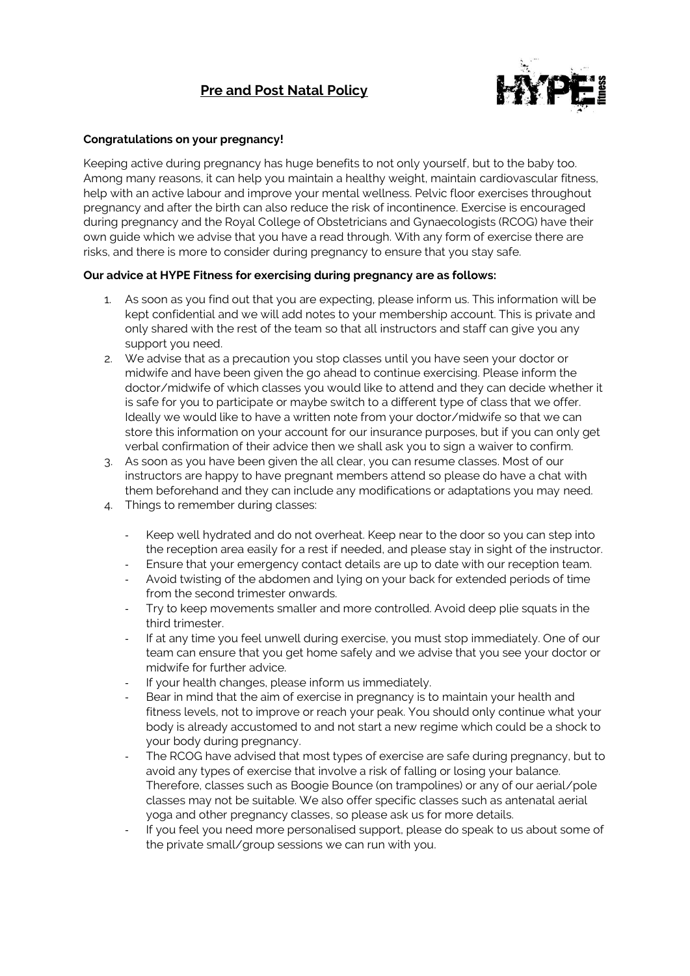# **Pre and Post Natal Policy**



### **Congratulations on your pregnancy!**

Keeping active during pregnancy has huge benefits to not only yourself, but to the baby too. Among many reasons, it can help you maintain a healthy weight, maintain cardiovascular fitness, help with an active labour and improve your mental wellness. Pelvic floor exercises throughout pregnancy and after the birth can also reduce the risk of incontinence. Exercise is encouraged during pregnancy and the Royal College of Obstetricians and Gynaecologists (RCOG) have their own guide which we advise that you have a read through. With any form of exercise there are risks, and there is more to consider during pregnancy to ensure that you stay safe.

## **Our advice at HYPE Fitness for exercising during pregnancy are as follows:**

- 1. As soon as you find out that you are expecting, please inform us. This information will be kept confidential and we will add notes to your membership account. This is private and only shared with the rest of the team so that all instructors and staff can give you any support you need.
- 2. We advise that as a precaution you stop classes until you have seen your doctor or midwife and have been given the go ahead to continue exercising. Please inform the doctor/midwife of which classes you would like to attend and they can decide whether it is safe for you to participate or maybe switch to a different type of class that we offer. Ideally we would like to have a written note from your doctor/midwife so that we can store this information on your account for our insurance purposes, but if you can only get verbal confirmation of their advice then we shall ask you to sign a waiver to confirm.
- 3. As soon as you have been given the all clear, you can resume classes. Most of our instructors are happy to have pregnant members attend so please do have a chat with them beforehand and they can include any modifications or adaptations you may need.
- 4. Things to remember during classes:
	- Keep well hydrated and do not overheat. Keep near to the door so you can step into the reception area easily for a rest if needed, and please stay in sight of the instructor.
	- Ensure that your emergency contact details are up to date with our reception team.
	- Avoid twisting of the abdomen and lying on your back for extended periods of time from the second trimester onwards.
	- Try to keep movements smaller and more controlled. Avoid deep plie squats in the third trimester.
	- If at any time you feel unwell during exercise, you must stop immediately. One of our team can ensure that you get home safely and we advise that you see your doctor or midwife for further advice.
	- If your health changes, please inform us immediately.
	- Bear in mind that the aim of exercise in pregnancy is to maintain your health and fitness levels, not to improve or reach your peak. You should only continue what your body is already accustomed to and not start a new regime which could be a shock to your body during pregnancy.
	- The RCOG have advised that most types of exercise are safe during pregnancy, but to avoid any types of exercise that involve a risk of falling or losing your balance. Therefore, classes such as Boogie Bounce (on trampolines) or any of our aerial/pole classes may not be suitable. We also offer specific classes such as antenatal aerial yoga and other pregnancy classes, so please ask us for more details.
	- If you feel you need more personalised support, please do speak to us about some of the private small/group sessions we can run with you.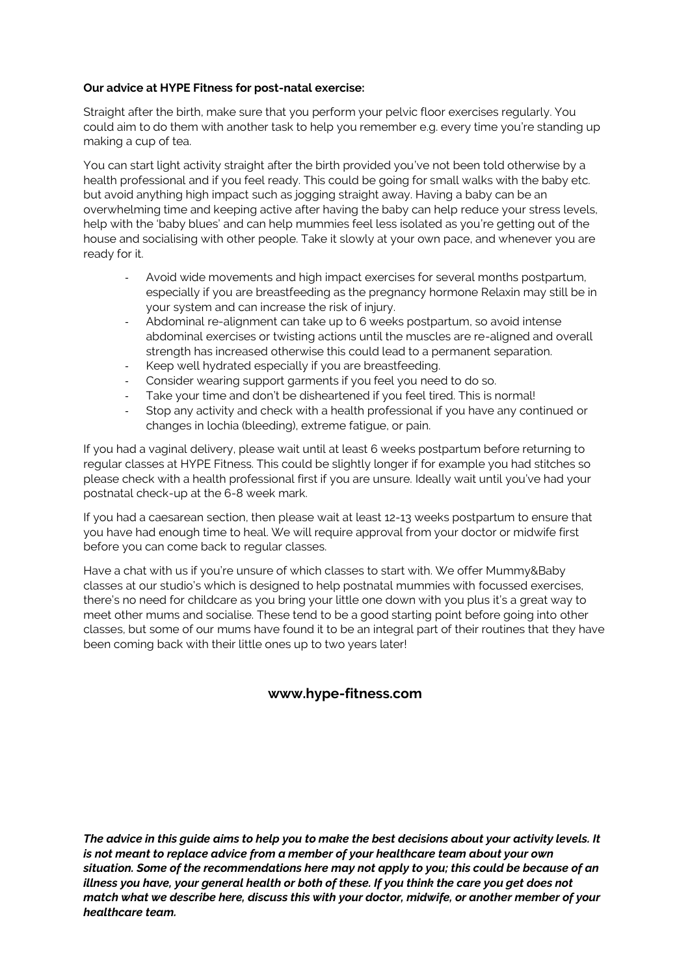### **Our advice at HYPE Fitness for post-natal exercise:**

Straight after the birth, make sure that you perform your pelvic floor exercises regularly. You could aim to do them with another task to help you remember e.g. every time you're standing up making a cup of tea.

You can start light activity straight after the birth provided you've not been told otherwise by a health professional and if you feel ready. This could be going for small walks with the baby etc. but avoid anything high impact such as jogging straight away. Having a baby can be an overwhelming time and keeping active after having the baby can help reduce your stress levels, help with the 'baby blues' and can help mummies feel less isolated as you're getting out of the house and socialising with other people. Take it slowly at your own pace, and whenever you are ready for it.

- Avoid wide movements and high impact exercises for several months postpartum, especially if you are breastfeeding as the pregnancy hormone Relaxin may still be in your system and can increase the risk of injury.
- Abdominal re-alignment can take up to 6 weeks postpartum, so avoid intense abdominal exercises or twisting actions until the muscles are re-aligned and overall strength has increased otherwise this could lead to a permanent separation.
- Keep well hydrated especially if you are breastfeeding.
- Consider wearing support garments if you feel you need to do so.
- Take your time and don't be disheartened if you feel tired. This is normal!
- Stop any activity and check with a health professional if you have any continued or changes in lochia (bleeding), extreme fatigue, or pain.

If you had a vaginal delivery, please wait until at least 6 weeks postpartum before returning to regular classes at HYPE Fitness. This could be slightly longer if for example you had stitches so please check with a health professional first if you are unsure. Ideally wait until you've had your postnatal check-up at the 6-8 week mark.

If you had a caesarean section, then please wait at least 12-13 weeks postpartum to ensure that you have had enough time to heal. We will require approval from your doctor or midwife first before you can come back to regular classes.

Have a chat with us if you're unsure of which classes to start with. We offer Mummy&Baby classes at our studio's which is designed to help postnatal mummies with focussed exercises, there's no need for childcare as you bring your little one down with you plus it's a great way to meet other mums and socialise. These tend to be a good starting point before going into other classes, but some of our mums have found it to be an integral part of their routines that they have been coming back with their little ones up to two years later!

# **www.hype-fitness.com**

*The advice in this guide aims to help you to make the best decisions about your activity levels. It is not meant to replace advice from a member of your healthcare team about your own situation. Some of the recommendations here may not apply to you; this could be because of an illness you have, your general health or both of these. If you think the care you get does not match what we describe here, discuss this with your doctor, midwife, or another member of your healthcare team.*